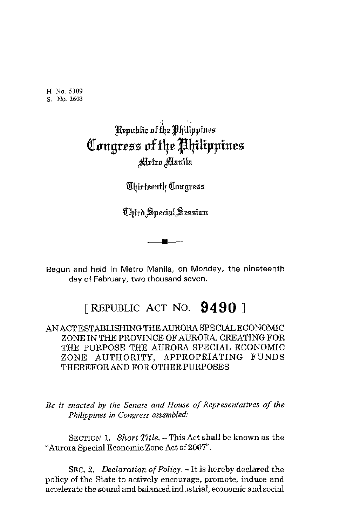**H** No. **5309 S. No. 2603** 

## Republic of the Philippines Congress of the Philippines Metro Manila

*<u>Uhirteenth Congress</u>* 

-c-

Begun and held in Metro Manila, on Monday, the nineteenth day of February, **two** thousand seven.

## [ REPUBLIC ACT NO. **94 9** *0* ]

ANACTESTABLISHINGTHE AURORA SPECIALECONOMIC ZONE IN THE PROVINCE OF AURORA, CREATING FOR THE PURPOSE THE AURORA SPECIAL ECONOMIC ZONE AUTHORITY, APPROPRIATING FUNDS THEREFORAND FOR OTHER PURPOSES

*Be it enacted by the Senate and House of Representatives of the Philippines in Congress assembled:* 

SECTION **1.** Short *Title.* -This Act shall be known as the "Aurora Special Economic Zone Act of 2007".

SEC. 2. Declaration of Policy. - It is hereby declared the policy of the State to actively encourage, promote, induce and accelerate the sound and balancedindustrial, economic and social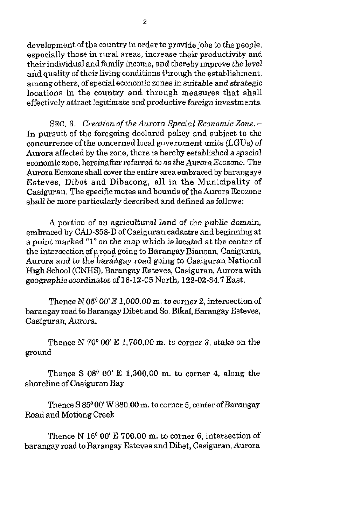development of the country in order to provide jobs to the people, especially those in rural areas, increase their productivity and their individual and family income, and thereby improve the level and quality of their living conditions through the establishment, among others, of special economic zones in suitable and strategic locations in the country and through measures that shall effectively attract legitimate and productive foreign investments.

**SEC. 3.** *Creation of the Aurora Special Economic Zone.* - In pursuit of the foregoing declared policy and subject to the concurrence of the concerned local government units (LGUs) of Aurora affected by the zone, there is hereby established a special economic zone, hereinafter referred *to* as the Aurora *&ozone.* The Aurora Ecozone shall cover the entire area embraced by barangays Esteves, Dibet and Dibacong, all in the Municipality of Casiguran. The specific metes and bounds of the Aurora Ecozone shall be more particularly described and defrned as follows:

**A** portion of an agricultural land of the public domain, embraced by CAD-358-D of Casiguran cadastre and beginning at a point marked *"1"* on the map which is located at the center of the intersection of a road going to Barangay Bianoan, Casiguran, Aurora and to the barangay road going to Casiguran National High School (CNHS), Barangay Esteves, Casiguran, Aurora with geographic coordinates of 16-12-05 North, **122-02-34.7** East.

Thence N 05<sup>0</sup> 00' E 1,000.00 m. to corner 2, intersection of barangay road **to** Barangay Dibet and So. Bikal, Barangay Esteves, Casiguran, Aurora.

Thence N 70° *00'* E 1,700.00 m. *to* corner **3,** stake *on* the ground

Thence S *08O* 00 **E** 1,300.00 m. to corner **4,** along the shoreline of Casiguran Bay

Thence S  $85^{\circ}$  00' W 380.00 m. to corner 5, center of Barangay Road and Motiong Creek

Thence  $N$  16<sup> $0$ </sup> 00' E 700.00 m, to corner 6, intersection of barangay road to Barangay Esteves and Dibet, Casiguran, Aurora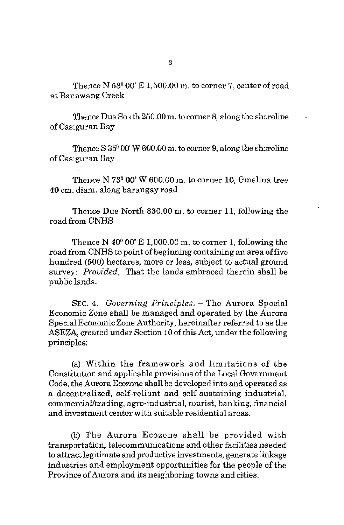Thence  $N$  58 $^{\circ}$  00' E 1,500.00 m, to corner 7, center of road at Banawang Creek

Thence Due So ath 250.00 m. to corner 8, along the shoreline of Casiguran Bay

Thence *S* **35"** 00 W 600.00 m. **to** corner **9,** along the shoreline of Casiguran Bay

Thence N **73O** 00' **W** 600.00 m. to corner 10, Gmelina tree 40 cm. diam. along barangay road

Thence Due North 830.00 m. to corner 11, following the road from CNHS

Thence N **40°** 00' E 1,000.00 m. to corner 1, following the road from CNHS to point of beginning containing an area of five hundred (500) hectares, more or less, subject to actual ground survey: *Prouided,* That the lands embraced therein shall be public lands.

**SEC. 4.** *Gouerning Principles.* - The Aurora Special Economic Zone shall be managed and operated by the Aurora Special Economic Zone Authority, hereinafter referred to as the ASEZA, created under Section 10 of this Act, under the following principles:

(a) Within the framework and limitations of the Constitution and applicable provisions of the Local Government Code, the Aurora Ecozone shall be developed into and operated as a decentralized, self-reliant and self-sustaining industrial, commercialltrading, agro-industrial, tourist, banking, financial and investment center with suitable residential areas.

@) The Aurora Ecozone shall be provided with transportation, telecommunications and other facilities needed to attract legitimate and productive investments, generate linkage industries and employment opportunities for the people of the Province of Aurora and its neighboring towns and cities.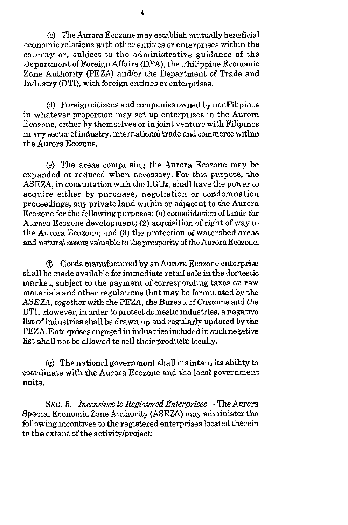(c) The Aurora Ecozone may establish mutually beneficial economic relations with other entities or enterprises within the country or, subject to the administrative guidance of the Department of Foreign Affairs (DFA), the Phil'ppine Economic Zone Authority (PEZA) and/or the Department of Trade and Industry @TI), with foreign entities or enterprises.

(d) Foreign citizens and companies owned by nonFilipinos in whatever proportion may set up enterprises in the Aurora Ecozone, either by themselves or in joint venture with Filipinos in any sector of industry, international trade and commerce within the Aurora Ecozone.

(e) The areas comprising the Aurora Ecozone may be expanded or reduced when necessary. For this purpose, the ASEZA, in consultation with the LGUs, shall have the power to acquire either by purchase, negotiation or condemnation proceedings, any private land within or adjacent to the Aurora Ecozone for the following purposes: (a) consolidation of lands for Aurora Ecozone development: **(2)** acquisition of right of way to the Aurora Ecozone; and **(3)** the protection of watershed areas **and** natural assets valuable to the prosperity of the Aurora Ecozone.

**(i)** Goods manufactured by an Aurora Ecozone enterprise shall be made available for immediate retail sale in the domestic market, subject to the payment of corresponding taxes on raw materials and other regulations that may be formulated by the ASEZA, together with the PEZA, the Bureau of Customs and the DTI. However, in order to protect domestic industries, a negative list of industries shall **be** drawn up and regularly updated by the PEZA. Enterprises engaged in industries included in such negative list shall not be allowed to sell their products locally.

(g) The national government shall maintain its ability to coordinate with the Aurora Ecozone and the local government units.

SEC. *5. Incentiues* **to** *Registered Enterprise6.* - *The* Aurora Special Economic Zone Authority (ASEZA) may administer the following incentives to the registered enterprises located therein to the extent of the activity/project: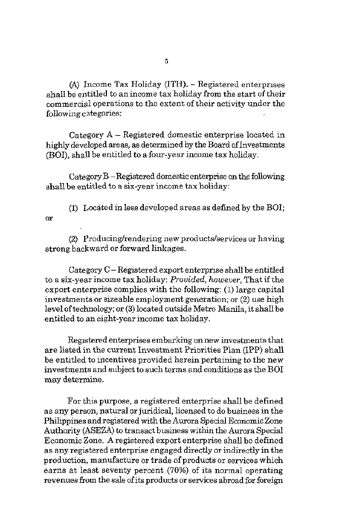(A) Income Tax Holiday **(ITH).** - Registered enterprises shall be entitled to anincome tax holiday from the start of their commercial operations to the extent of their activity under the following categories:

Category **A** - Registered domestic enterprise located in highly developed areas, as determined by the Board of Investments (BOI), shaU be entitled to a four-year income tax holiday.

Category B -Registered domestic enterprise on the following shall be entitled to a six-year income tax holiday:

**(1)** Locatedinless developed areas as defined by the BOI; or

(2) Producing/rendering new products/services or having strong backward or forward linkages.

Category C - Registered export enterprise shall be entitled to a six-year income tax holiday: *Prouided, however,* That ifthe export enterprise complies with the following: **(1)** large capital investments **or** sizeable employment generation; or **(2)** use high level of technology; or **(3)** located outside Metro Manila, it shall be entitled to an eight-year income tax holiday.

Regstered enterprises embarking on new investments that are listed in the current Investment Priorities Plan (IPP) shall be entitled to incentives provided herein pertaining to the new investments and subject to such terms and conditions as the BO1 may determine.

For this purpose, a registered enterprise shall be defined as any person, natural or juridical, licensed to do business in the Philippines and registered with the Aurora Special EconomicZone Authority (ASEZA) to transact business within the Aurora Special Economic Zone. Aregistered export enterprise shall be defined as any registered enterprise engaged directly or indirectly in the production, manufacture or trade of products or services which earns at least seventy percent **(70%)** of its normal operating revenues from the sale of its products or services abroad for foreign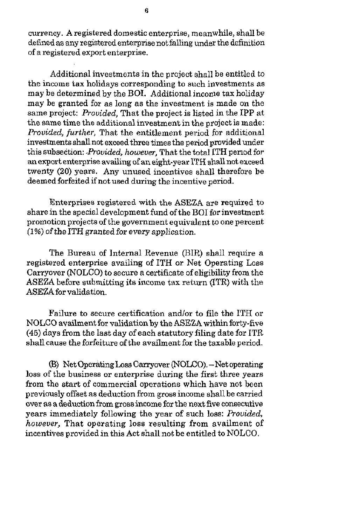currency. **A** registered domestic enterprise, meanwhile, shall be defined as any registered enterprise not falling under the definition of a registered export enterprise.

Additional investments in the project shall be entitled to the income tax holidays corresponding to such investments as may be determined by the BOI. Additional income tax holiday may be granted for as long as the investment is made on the same project: *Provided,* That the project is listed in the IPP at the same time the additionalinvestment in the project is made: *Provided, further,* That the entitlement period for additional investments shall not exceed three times the period provided under this subsection: *.Provided, howeuer,* That the total ITH penod for an export enterprise availing of an eight-year ITH **shall** not exceed twenty (20) years. Any unused incentives shall therefore be deemed forfeited if not used during the incentive period.

Enterprises registered with the **ASEZA** are required to share in the special development fund of the BO1 for investment promotion projects of the government equivalent to one percent **(1** %) of the ITH granted *for* every application.

The Bureau of Internal Revenue (BIR) shall require a registered enterprise availing of ITH or Net Operating Loss Carryover (NOLCO) *to* secure a certificate of eligibility from the **ASEZA** before submitting its income tax return (ITR) with the ASEZA for validation.

Failure to secure certification and/or to file the ITH or NOLCO availment for validation by the **ASEZA** within forty-five **(45)** days from the last day of each statutory filing date for ITR shall cause the forfeiture of the availment for the taxable period.

(5) Net Operiting **Loss** Carryover (NOLCO). -Net operating loss of the business or enterprise during the first three years from the start of commercial operations which have not been previously offset as deduction from gross income shall be carried over as a deduction from grossincome for the next five consecutive years immediately following the year of such loss: *Provided, however,* That operating loss resulting from availment of incentives provided in this Act shall not be entitled *to* NOLCO.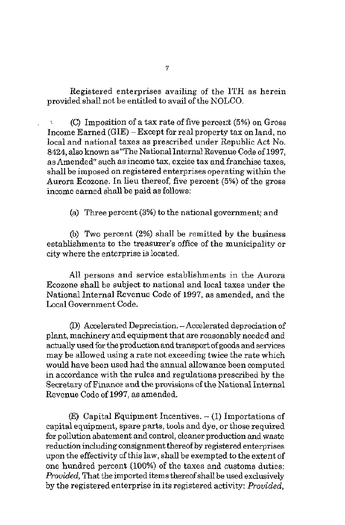Registered enterprises availing of the ITH as herein provided shall not be entitled to avail of the NOLCO.

 $(C)$  Imposition of a tax rate of five percent (5%) on Gross Income Earned (GIE) -Except for real property tax on land, no local and national taxes as prescribed under Republic Act No. 8424, also known as"The NationalInternal Revenue Code of **1997,**  as Amended" such as income tax, excise tax and franchise taxes, shall be imposed on registered enterprises operating within the Aurora Ecozone. In lieu thereof, five percent (5%) of the gross income earned shall be paid as follows:

(a) Three percent **(3%)** to the national government; and

(b) **Two** percent **(2%)** shall be remitted by the business establishments to the treasurer's office of the municipality or city where the enterprise is located.

All persons and service establishments in the Aurora Ecozone shall be subject to national and local taxes under the National Internal Revenue Code of **1997,** as amended, and the Local Government Code.

(D) Accelerated Depreciation. -Accelerated depreciation of plant, machinery and equipment that are reasonably needed and actually used for the production and transport of goods and services may be allowed using a rate not exceeding twice the rate which would have been used had the annual allowance been computed in accordance with the rules and regulations prescribed by the Secretary of Finance and the provisions of the National Internal Revenue Code of **1997,** as amended.

(E) Capital Equipment Incentives.  $- (1)$  Importations of capital equipment, spare parts, tools and dye, or those required for pollution abatement and control, cleaner production and waste reduction including consignment thereof by registered enterprises upon the effectivity of this law, shall be exempted to the extent of one hundred percent (100%) of the taxes and customs duties: *Prouided,* That the imported items thereof shall be used exclusively by the registered enterprise in its registered activity: *Prouided,*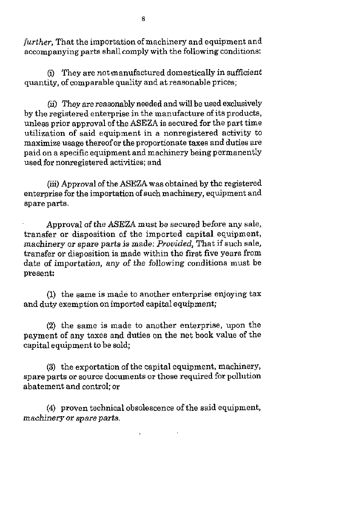*further,* That the importation of machinery and equipment and accompanying parts shall comply with the following conditions:

(i) They are notmanufactured domestically in sufficient quantity, of comparable quality and at reasonable prices;

(ii) They *are* reasonably needed and will be used exclusively by the registered enterprise in the manufacture of its products, unless prior approval ofthe ASEZA is secured for the part time utilization of said equipment in a nonregistered activity to maximize usage thereof or the proportionate taxes and duties are paid on a specific equipment and machinery being permanently used for nonregistered activities; and

*(iii)* Approval of the ASEZA was obtained by the registered enterprise for the importation of such machinery, equipment and spare parts.

Approval of the ASEZA must be secured before any sale, transfer or disposition of the imported capital equipment, machinery or spare parts is made: *Provided*, That if such sale, transfer or disposition is made within the first five years from date of importation, any of the following conditions must be present:

(1) the same is made to another enterprise enjoying tax and duty exemption *on* imported capital equipment;

**(2)** the same is made to another enterprise, upon the payment of any taxes and duties on the net book value of the capital equipment to be sold;

**(3)** the exportation of the capital equipment, machinery, spare parts or source documents or those required for pollution abatement and control: or

**(4)** proven technical obsolescence of the said equipment, *machinery or spare parts.*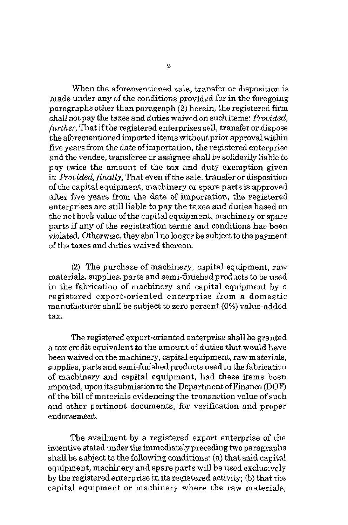When the aforementioned sale, transfer or disposition is made under any of the conditions provided for in the foregoing paragraphs other than paragraph *(2)* herein, the registered firm shaU not pay the taxes and duties waivcd on such items: *Prouided, further,* That *if* the registered enterprises sell, transfer or dispose the aforementioned imported items without prior approval within five years from the date of importation, the registered enterprise and the vendee, transferee or assignee shall be solidarily liable to pay twice the amount of the tax and duty exemption given it: *Prouided, finally,* That even if the sale, transfer or disposition of the capital equipment, machinery or spare parts is approved after five years from the date of importation, the registered enterprises are still liable to pay the taxes and duties based on the net book value of the capital equipment, machinery or spare parts if any of the registration terms and conditions has been violated. Otherwise, they shall no longer be subject to the payment of the taxes and duties waived thereon.

**(2)** The purchase of machinery, capital equipment, raw materials, supplies, parts and semi-finished products to be used in the fabrication of machinery and capital equipment by a registered export-oriented enterprise from a domestic manufacturer shall be subject to zero percent (0%) value-added tax.

The registered export-oriented enterprise shall be granted a tax credit equivalent *to* the amount of duties that would have been waived on the machinery, capital equipment, raw materials, supplies, parts and semi-finished products used in the fabrication of machinery and capital equipment, had these items been  $improved$ , upon its submission to the Department of Finance  $(DOF)$ of the bill of materials evidencing the transaction value of such and other pertinent documents, for verification and proper endorsement.

The availment by a registered export enterprise of the incentive stated under the immediately preceding two paragraphs shall be subject to the following conditions: (a) that said capital equipment, machinery and spare parts will be used exclusively by the registered enterprise in its registered activity; (b) that the capital equipment or machinery where the raw materials,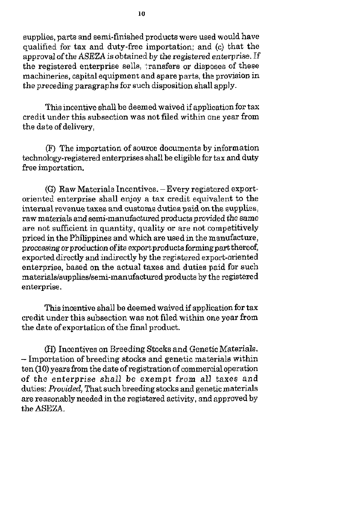supplies, parts and semi-finished products were used would have qualified for tax and duty-free importation; and (c) that the approval ofthe ASEZA is obtained **by** the registered enterprise. If the registered enterprise sells, !ransfers or disposes of these machineries, capitalequipment and spare parts, the provision in the preceding paragraphs for such disposition shall apply.

This incentive shall be deemed waived if application for tax credit under this subsection was not filed within one year from the date of delivery,

(F) The importation of source documents by information technology-registered enterprises shall be eligible for tax and duty free importation.

(G) Raw Materials Incentives. -Every registered exportoriented enterprise shall enjoy a tax credit equivalent to the internal revenue taxes and customs duties paid on the supplies, raw materials and semi-manufactured products provided the same are not sufficient in quantity, quality or are not competitively priced in the Philippines and which are used in the manufacture, processing or production of its export products forming part thereof, exported directly and indirectly by the registered export-oriented enterprise, based on the actual taxes and duties paid for such **materials/supplies/semi-manufactured** products by the registered enterprise.

This incentive shall be deemed waived if application for tax credit under this subsection was not Filed within one year from the date of exportation of the final product.

(€0 Incentives on Breeding Stocks and Genetic Materials. - Importation of breeding stocks and genetic materials within ten (10) years from the date of registrationof commercial operation of the enterprise shall **be** exempt from all taxes and duties: *Prouided,* That such breeding stocks and genetic materials are reasonably needed in the registered activity, and approved by the ASEZA.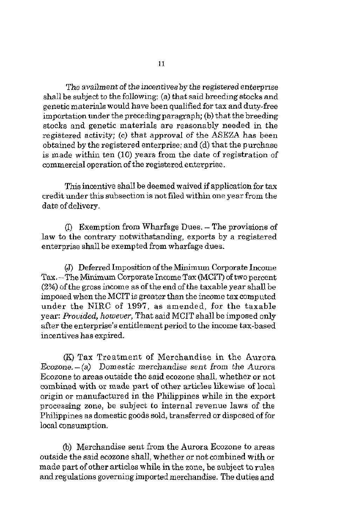The availment of the incentives by the registered enterprise shall be subject to the following: (a) that said breeding stocks and genetic materials would have been qualified for tax and duty-free  $imputation$  under the preceding paragraph; (b) that the breeding stocks and genetic materials are reasonably needed in the registered activity; (c) that approval of the ASEZA has been obtained by the registered enterprise; and (d) that the purchase is made within ten (10) years from the date of registration of commercial operation of the registered enterprise.

This incentive shall be deemed waived if application for tax credit under this subsection is not filed within one year from the date of delivery.

*0* Exemption from Wharfage Dues. - The provisions of law to the contrary notwithstanding, exports by a registered enterprise shall be exempted from wharfage dues.

(J) Deferred Imposition of the Minimum Corporate Income Tax. -- The Minimum Corporate Income Tax (MCIT) of two percent *(2%)* of the gross income as of the end of the taxable year shall be imposed when the MCIT is greater than the income tax computed under the NIRC of 1997, as amended, for the taxable year: *Provided, however,* That said MCIT shall be imposed ouly after the enterprise's entitlement period to the income tax-based incentives has expired.

(Kj Tax Treatment of Merchandise in the Aurora  $Ecozone. – (a)$  Domestic merchandise sent from the Aurora Ecozone to areas outside the said ecozone shall, whether or not combined with or made part of other articles likewise of local origin or manufactured in the Philippines while in the export processing zone, be subject to internal revenue laws of the Philippines as domestic goods sold, transferred or disposed of for local consumption.

(b) Merchandise sent from the Aurora Ecozone to areas outside the said ecozone shall, whether or not combined with or made part of other articles while in the zone, be subject to rules and regulations governing imported merchandise. The duties and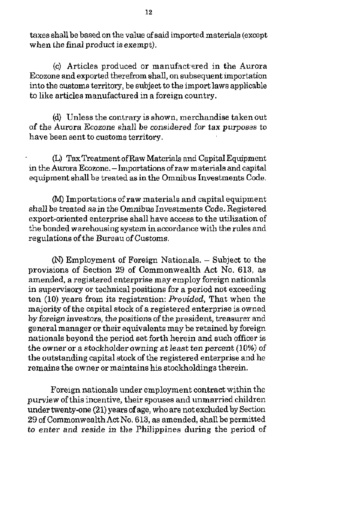taxes shall be based on the value of said imported materials (except when the final product is exempt).

(c) Articles produced or manufnctared in the Aurora Ecozone and exported therefrom shall, on subsequent importation into the customs territory, be subject to the import laws applicable to like articles manufactured in a foreign country.

(d) Unless the contrary is shown, merchandise takenout of the Aurora Ecozone shall be considered for tax purposes to have been sent to customs territory.

Q TaxTreatment ofRaw Materials and Capital Equipment in the Aurora Ecozone. - Importations of raw materials and capital equipment shall be treated as in the Omnibus Investments Code.

*0* Importations of raw materials and capital equipment shall be treated *as* in the Omnibus Investments Code. Registered export-oriented enterprise shall have access to the utilization of the bonded warehousing system in accordance with the rules and regulations of the Bureau of Customs.

*(N)* Employment of Foreign Nationals. - Subject to the provisions of Section **29** of Commonwealth Act No. **613,** as amended, a registered enterprise may employ foreign nationals in supervisory or technical positions for a period not exceeding ten (10) years from its registration: *Provided,* That when the majority of the capital stock of a registered enterprise is owned by foreign investors, the positions of the president, treasurer and general manager or their equivalents may he retained by foreign nationals beyond the period set forth herein and such officer is the owner or a stockholder owning *at* least ten percent (10%) of the outstanding capital stock of the registered enterprise and he remains the owner or maintains his stockholdings therein.

Foreign nationals under employment contract within the purview of this incentive, their spouses and unmarried children under twenty-one **(21)** years of age, who are not excluded by Section 29 of Commonwealth Act No. **613,** as amended, shallbe permitted to enter and reside in the Philippines during the period of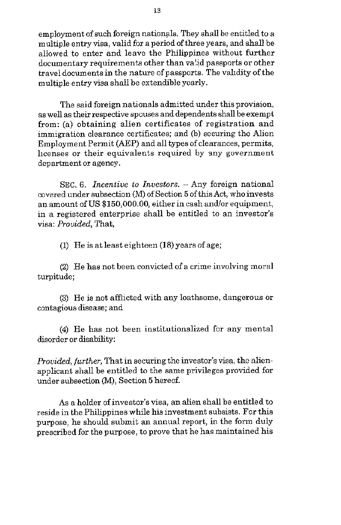employment of such foreign nationals. They shall be entitled to a multiple entry visa, valid for a period ofthree years, and shall be allowed to enter and leave the Philippines without further documentary requirements other than valid passports or other travel documentsin the nature of passports. The validity of the multiple entry visa shall he extendible yearly.

The said foreign nationals admitted under this provision, as well as their respective spouses and dependents shall be exempt from: (a) obtaining alien certificates of registration and immigration clearance certificates; and (b) securing the Alien Employment Permit (AEP) and all types of clearances, permits, licenses or their equivalents required by any government department or agency.

**SEC.** *6. Incentiue to Inuestors.* - Any foreign national covered under subsection (M) of Section **5** of this Act, who invests an amount of US \$150,000.00, either in cash and/or equipment, in a registered enterprise shall be entitled to an investor's visa: *Provided,* That,

(1) He is at least eighteen (18) years of age;

(2) He has not been convicted of a crime involving moral turpitude;

**(3)** He is not afflicted with any loathsome, dangerous or contagious disease; and

**(4)** He has not been institutionalized for any mental disorder or disability:

*Provided, further, That in securing the investor's visa, the alien*applicant shall be entitled to the same privileges provided for under subsection *(M)*, Section 5 hereof.

**As** a holder of investor's visa, an alien shall be entitled to reside in the Philippines while his investment subsists. For this purpose, he should submit an annual report, in the form duly prescribed for the purpose, to prove that he has maintained his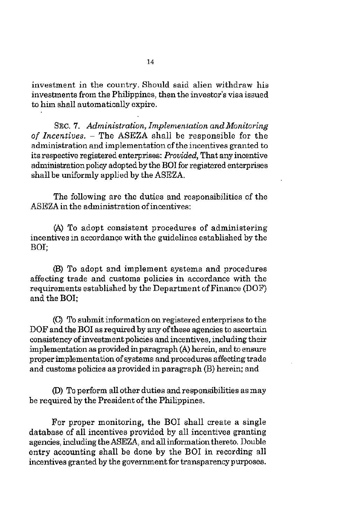investment in the country. Should said alien withdraw his investments from the Philippines, then the investor's visa issued to him shall automatically expire.

**SEC.** 7. Administration, Implementation and Monitoring of Incentives. - The **ASEZA** shall be responsible for the administration and implementation of the incentives granted to its respective registered enterprises: Provided, That any incentive administration policy adopted by the BO1 for registered enterprises shall be uniformly applied by the **ASEZA.** 

The following are the duties and responsibilities of the **ASEZA** in the administration of incentives:

**(A)** To adopt consistent procedures of administering incentives in accordance with the guidelines established by the BOI:

(B) To adopt and implement systems and procedures affecting trade and customs policies in accordance with the requirements established by the Department of Finance (DOF) and the BOI;

Q To submit information on registered enterprises to the DOF and the BO1 as required by any of these agencies **to** ascertain consistency of investment policies and incentives, including their implementation as provided in paragraph **(A)** herein, and to ensure proper implementation of systems and procedures affecting trade and customs policies as provided in paragraph (B) herein; and

(D) To perform all other duties and responsibilities as may be required by the President of the Philippines.

For proper monitoring, the BO1 shall create a single database of all incentives provided by all incentives granting agencies, including the ASEZA, and all information thereto. Double entry accounting shall be done by the BO1 in recording all incentives granted by the government for transparencypurposes.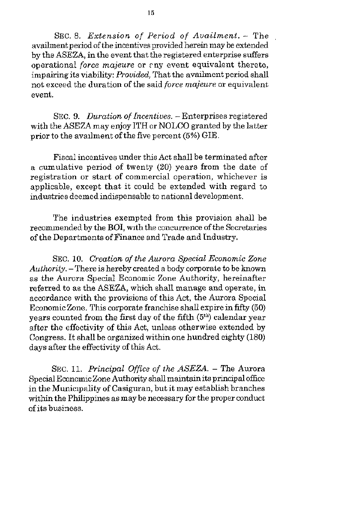SEC. 8. Extension of *Period* of Availment. - The availment period of the incentives provided herein may be extended by the ASEZA, in the event that the registered enterprise suffers operational force majeure or  $\varepsilon$  ny event equivalent thereto, impairing its viability: *Provided*, That the availment period shall not exceed the duration of the said force majeure or equivalent event.

SEC. 9. Duration of Incentives. - Enterprises registered with the ASEZA may enjoy ITH or NOLCO granted by the latter prior to the availment of the five percent (5%) GIE.

Fiscal incentives under this Act shall be terminated after a cumulative period of twenty **(20)** years from the date of registration or start of commercial operation, whichever is applicable, except that it could be extended with regard to industries deemed indispensable *to* national development.

The industries exempted from this provision shall be recommended by the BOI, with the concurrence of the Secretaries of the Departments of Finance and Trade and Industry.

SEC. **10.** Creation *of* the Aurora Special Economic Zone  $Authority$ . - There is hereby created a body corporate to be known as the Aurora Special Economic Zone Authority, hereinafter referred to as the ASEZA, which shall manage and operate, in accordance with the provisions of this Act, the Aurora Special Economic Zone. This corporate franchise shall expire in fifty (50) years counted from the first day of the fifth **(Sth)** calendar year after the effectivity of this Act, unless otherwise extended by Congress. It shall be organized within one hundred eighty (180) days after the effectivity of this Act.

SEC. 11. Principal Office of the ASEZA. - The Aurora Special Economic Zone Authority shall maintain its principal office in the Municipality of Casiguran, but it may establish branches within the Philippines as may be necessary for the proper conduct ofits business.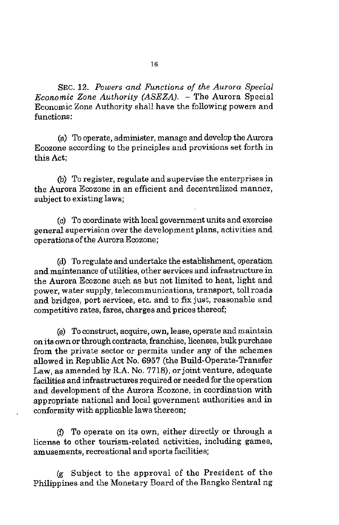**SEC. 12.** *Powers .and Functions of the Aurora SpeciaJ Economic Zone Authority (ASEZA).* - The Aurora Special Economic Zone Authority shall have the following powers and functions:

(a) To operate, administer, manage and develop the Aurora Ecozone according to the principles and provisions set forth in this Act;

(b) To register, regulate and supervise the enterprises in the Aurora Ecozone in an efficient and decentralized manner, subject to existing laws;

(c) To coordinate with local government units and exercise general supervision over the development plans, activities and operations of the Aurora Ecozone;

(d) To regulate and undertake the establishment, operation and maintenance of utilities, other services and infrastructure in the Aurora Ecozone such as but not limited to heat, light and power, water supply, telecommunications, transport, toll roads and bridges, port services, etc. and to **fix** just, reasonable and competitive rates, fares, charges and prices thereof;

(e) Toconstruct, acquire, own, lease, operate andmaintain onita own or through contracts, franchise, licenses, bulk purchase from the private sector or permits under any of the schemes allowed in Republic Act No. **6957** (the Build-Operate-Transfer Law, as amended by R.A. No. **7718),** or joint venture, adequate facilities and infrastructures required or needed for the operation and development of the Aurora Ecozone, in coordination with appropriate national and local government authorities and in conformity with applicable laws thereon;

(0 To operate on its own, either directly or through a license to other tourism-related activities, including games, amusements, recreational and sports facilities;

Subject to the approval of the President of the Philippines and the Monetary Board of the Bangko Sentral ng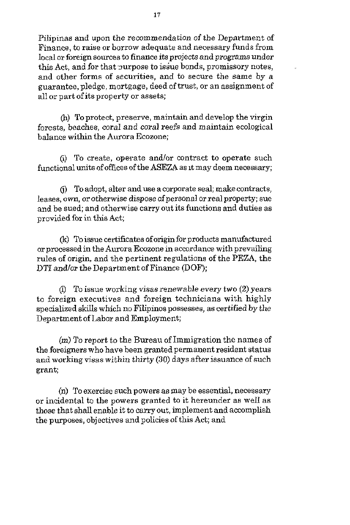Pilipinas and upon the recommendation of the Department of Finance, **to** raise or borrow adequate and necessary funds from local or foreign sources **to** finance its projects and programs under this Act, and for that purpose to issue bonds, promissory notes, and other forms of securities, and to secure the same by a guarantee, pledge, mortgage, deed of trust, or an assignment of all or part of its property *or* assets;

l.

(h) To protect, preserve, maintain and develop the virgin forests, beaches, coral and coral reefs and maintain ecological balance within the Aurora Ecozone;

(i) To create, opeate and/or contract to operate such functional units of offices of the ASEZA as It may deem necessary;

(i) To adopt, alter and use a corporate seal; make contracts, leases, own, or otherwise dispose of personal *or* real property; sue and be sued; and otherwise carry out its functions and duties as provided for in **this** Act;

(k) To issue certificates of origin for products manufactured *or* processed in the Aurora Ecozone in accordance with prevailing rules of origin, and the pertinent regulations of the PEZA, the DTI and/or the Department of Finance (DOF);

(I) To issue working visas renewable every two *(2)* years to foreign executives and foreign technicians with highly specialized skills which no Filipinos possesses, as certified by the Department of Labor and Employment;

*(m)* To report to the Bureau of Immigration the names of the foreigners who have been granted permanent resident status and working visas within thirty *(30)* days after issuance of such grant;

(n) To exercise such powers as may be essential, necessary or incidental to the powers granted to it hereunder as well as those that shall enable it to carry out, implement and accomplish the purposes, objectives and policies of this Act; and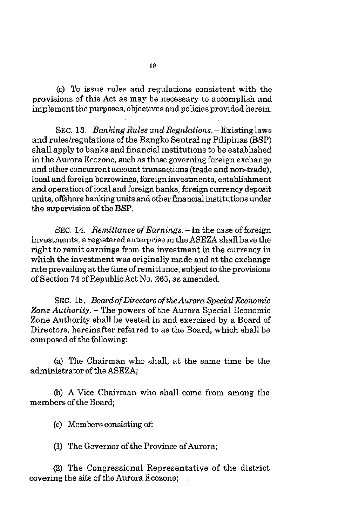*(0)* To issue rules and regulations consistent with the provisions of this Act as may be necessary to accomplish and implement the purposes, objectives and policies provided herein.

SEC. 13. Banking Rules and Regulations. - Existing laws and rules/regulations of the Bangko Sentral ng Pilipinas (BSP) shall apply to banks and financial institutions to be established in the Aurora Ecozone, such as those governing foreign exchange and other concurrent account transactions (trade and non-trade), local and foreign borrowings, foreign investments, establishment and operation of local and foreign banks, foreign currency deposit units, offshore banking units and other financial institutions under the supervision of the BSP.

SEC. 14. Remittance of Earnings. - In the case of foreign investments, a registered enterprise in the ASEZA shall have the right to remit earnings from the investment in the currency in which the investment was originally made and at the exchange rate prevailing at the time of remittance, subject to the provisions of Section **74** ofRepublicAct No. 265, as amended.

SEC. 16. *Board* ofDirectors of *theAurora Special Economic Zone Authority.* - The powers of the Aurora Special Economic Zone Authority shall be vested in and exercised by a Board of Directors, hereinafter referred to as the Board, which shall be composed of the following:

(a) The Chairman who shall, at the same time be the administrator of the ASEZA

(b) A Vice Chairman who shall come from among the members of the Board:

(c) Members consisting of:

**(1)** The Governor of the Province of Aurora;

(2) The Congressional Representative of the district covering the site of the Aurora Ecozone;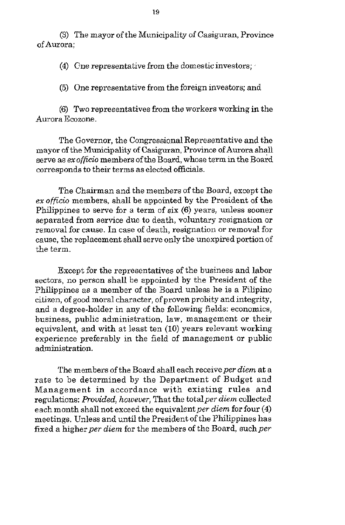**(3)** The mayor of the Municipality of Casiguran, Province of Aurora:

**(4)** Cne representative from the domesticinvestors;

**(5)** One representative from the foreign investors; and

**(6)** Two representatives from the workers working in the Aurora Ecozone.

The Governor, the Congressional Representative and the mayor of the Municipality of Casiguran, Province of Aurora shall serve as exofficio members of the Board, whose term in the Board corresponds to their terms as elected officials.

The Chairman and the members of the Board, except the ex officio members, shall be appointed by the President of the Philippines to serve for a term of six (6) years, unless sooner separated from service due to death, voluntary resignation or removal for cause. In case of death, resignation or removal for cause, the replacement shall serve only the unexpired portion of the term.

Except for the representatives of the business and labor sectors, no person shall be appointed by the President of the Philippines as a member of the Board unless he is a Filipino citizen, of good moral character, of proven probity and integrity, and a degree-holder in any of the following fields: economics, business, public administration, law, management or their equivalent, and with at least ten **(IO)** years relevant working experience preferably in the field of management or public administration.

The members of the Board shall each receive per diem at a rate to be determined by the Department of Budget and Management in accordance with existing rules and regulations: Provided, however, That the total per diem collected each month shall not exceed the equivalent per diem for four (4) meetings. Unless and until the President of the Philippines has fixed a higher per diem for the members of the Board, such per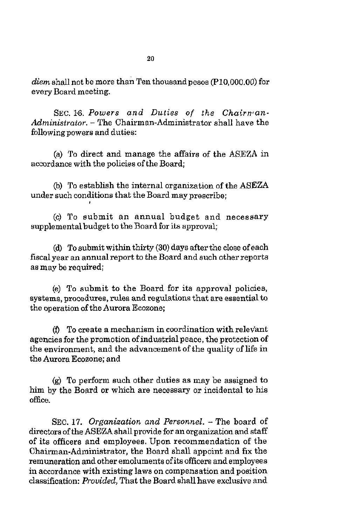*diem* shall not be more than Ten thousand pesos **(Pl0,OOO.OO)** for every Board meeting.

SEC. *i6. Powers and Duties of the Chairman-Administrator.* - The Chairman-Administrator shall have the following powers and duties:

(a) To direct and manage the affairs **of** the ASEZA in accordance with the policies of the Board;

(b) To establish the internal organization of the ASEZA under such conditions that the Board may prescribe;

(c) To submit an annual budget and necessary supplemental budget to the Board for its approval;

(d) To submit within thirty (30) days after the close ofeach fiscal year an annual report to the Board and such other reports as may be required:

(e) To submit to the Board for its approval policies, systems, procedures, rules and regulations that are essential **to**  the operation of the Aurora Ecozone;

*(f)* To create a mechanism in coordination with relev'ant agencies for the promotion of industrial peace, the protection of the environment, and the advancement of the quality of life in the Aurora Ecozone; and

(g) To perform such other duties as may be assigned to him by the Board or which are necessary or incidental **to** his office.

**SEC. 17.** *Organization and Personnel.* - The board of directors of the ASEZA shall provide for an organization and staff of its officers and employees. Upon recommendation of the Chairman-Administrator, the Board shall appoint and **fix** the remuneration and other emoluments of its officers and employees in accordance with existing laws on compensation and position classification: *Prouided,* That the Board shall have exclusive and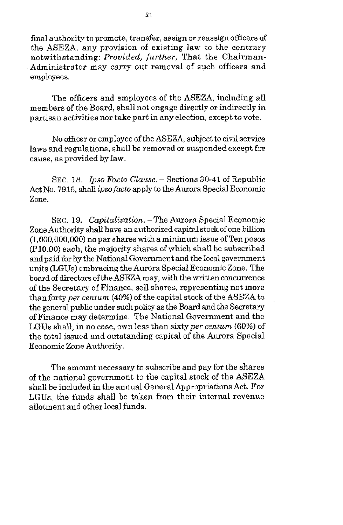final authority to promote, transfer, assign or reassign officers of the ASEZA, any provision of existing law to the contrary notwithstanding: Provided, *further,* That the Chairman-Administrator may carry out removal of such officers and employees.

The officers and employees of the ASEZA, including all members of the Board, shall not engage directly or indirectly in partisan activities nor take part in any election, except to vote.

No officer or employee of the ASEZA, subject *to* civil service laws and regulations, shall be removed or suspended except for cawe, as provided by law.

SEC. 18. Ipso Facto *Clause.* - Sections **30-41** of Republic Act No. 7916, shall *ipso facto* apply to the Aurora Special Economic Zone.

SEC. 19. Capitalization. - The Aurora Special Economic Zone Authority shall have an authorized capital stock of one billion (1,000,000,000) no par shares with a minimum issue of Ten pesos (P10.00) each, the majority shares of which shall be subscribed and paid for by the National Government and the local government units (LGUs) embracing the Aurora Special Economic Zone. The board of directors of the ASEZA may, with the written concurrence of the Secretary of Finance, sell shares, representing not more than forty *per centum* (40%) of the capital stock of the ASEZA to the general public under such policy as the Board and the Secretary of Finance may determine. The National Government and the LGUs shall, in no case, own less than sixty per centum (60%) of the total issued and outstanding capital of the Aurora Special Economic Zone Authority.

The amount necessary to subscribe and pay for the shares of the national government to the capital stock of the ASEZA shall be included in the annual General Appropriations Act. For LGUs, the funds shall be taken from their internal revenue allotment and other local funds.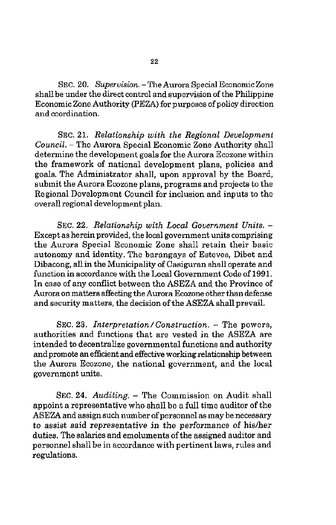SEC. 20. *Supervision.* - The Aurora Special Economic Zone shall be under the direct control and supervision of the Philippine Economic Zone Authority (PEZA) for purposes of policy direction and coordination.

SEC. 21. *Relationship with the Regional Development Council.* - The Aurora Special Economic Zone Authority shall determine the development goals for the Aurora Ecozone within the framework of national development plans, policies and goals. The Administrator shall, upon approval by the Board, submit the Aurora Ecozone plans, programs and projects to the Regional Development Council for inclusion and inputs to the overall regional development plan.

SEC. 22. *Relationship with Local Government Units.* – Except as herein provided, the local government units comprising the Aurora Special Economic Zone shall retain their basic autonomy and identity. The barangays of Esteves, Dibet and Dibacong, all in the Municipality of Casiguran shall operate and function in accordance with the Local Government Code of 1991. In case of any conflict between the ASEZA and the Province of Aurora on matters affecting the Aurora Ecozone other than defense and security matters, the decision of the ASEZA shall prevail.

SEC. **23.** *Interpretation/Construction.* - The powers, authorities and functions that are vested in the ASEZA are intended to decentralize governmental functions and authority and promote an efficient and effective working relationship between the Aurora Ecozone, the national government, and the local government units.

SEC. **24.** *Auditing.* - The Commission on Audit shall appoint a representative who shall be a full time auditor of the ASEZA and assign **such** number of personnel as may be necessary to assist said representative in the performance of his/her duties. The salaries and emoluments of the assigned auditor and personnel shall be in accordance with pertinent laws, rules and regulations.